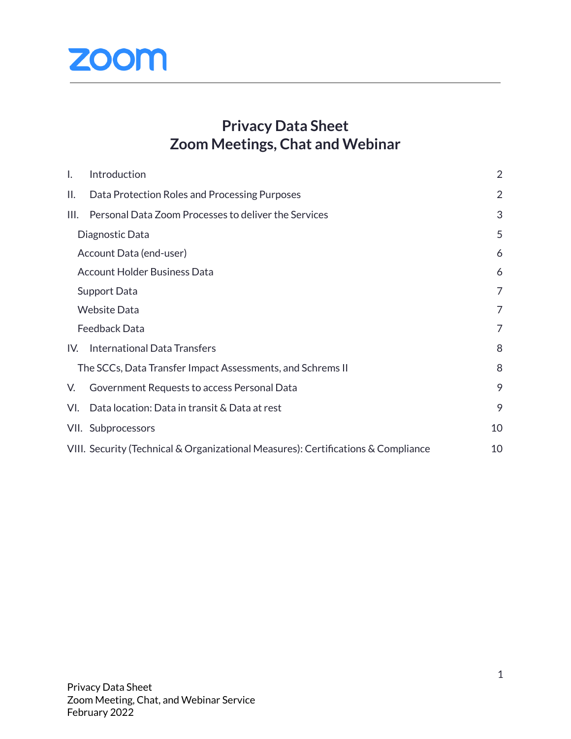

# **Privacy Data Sheet Zoom Meetings, Chat and Webinar**

| $\mathsf{L}$                                               | Introduction                                                                      | $\overline{2}$ |
|------------------------------------------------------------|-----------------------------------------------------------------------------------|----------------|
| Н.                                                         | Data Protection Roles and Processing Purposes                                     | 2              |
| III.                                                       | Personal Data Zoom Processes to deliver the Services                              | 3              |
| Diagnostic Data                                            |                                                                                   | 5              |
|                                                            | Account Data (end-user)                                                           | 6              |
|                                                            | <b>Account Holder Business Data</b>                                               | 6              |
| Support Data                                               |                                                                                   | 7              |
|                                                            | <b>Website Data</b>                                                               | 7              |
| Feedback Data                                              |                                                                                   | 7              |
| IV.                                                        | <b>International Data Transfers</b>                                               | 8              |
| The SCCs, Data Transfer Impact Assessments, and Schrems II |                                                                                   | 8              |
| V.                                                         | Government Requests to access Personal Data                                       | 9              |
| VI.                                                        | Data location: Data in transit & Data at rest                                     | 9              |
|                                                            | VII. Subprocessors                                                                | 10             |
|                                                            | VIII. Security (Technical & Organizational Measures): Certifications & Compliance | 10             |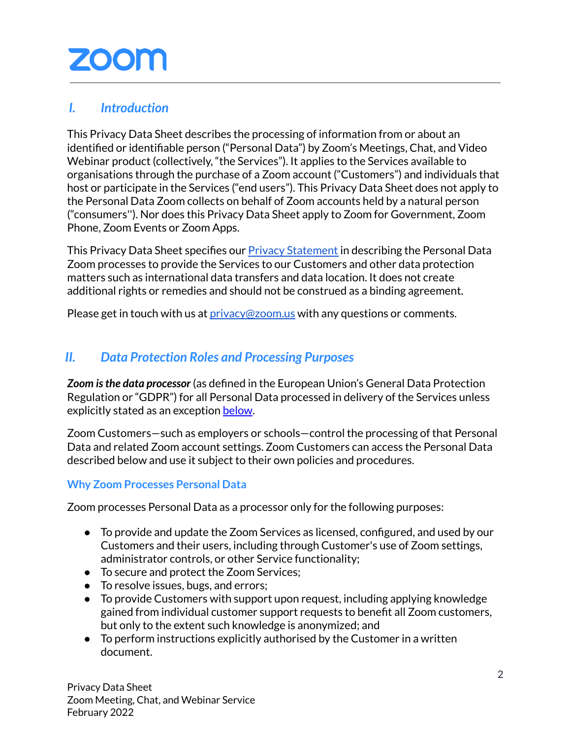# <span id="page-1-0"></span>*I. Introduction*

This Privacy Data Sheet describes the processing of information from or about an identified or identifiable person ("Personal Data") by Zoom's Meetings, Chat, and Video Webinar product (collectively, "the Services"). It applies to the Services available to organisations through the purchase of a Zoom account ("Customers") and individuals that host or participate in the Services ("end users"). This Privacy Data Sheet does not apply to the Personal Data Zoom collects on behalf of Zoom accounts held by a natural person ("consumers''). Nor does this Privacy Data Sheet apply to Zoom for Government, Zoom Phone, Zoom Events or Zoom Apps.

This Privacy Data Sheet specifies our **Privacy [Statement](https://explore.zoom.us/trust/privacy)** in describing the Personal Data Zoom processes to provide the Services to our Customers and other data protection matters such as international data transfers and data location. It does not create additional rights or remedies and should not be construed as a binding agreement.

Please get in touch with us at [privacy@zoom.us](mailto:privacy@zoom.us) with any questions or comments.

## <span id="page-1-1"></span>*II. Data Protection Roles and Processing Purposes*

*Zoom isthe data processor* (as defined in the European Union's General Data Protection Regulation or "GDPR") for all Personal Data processed in delivery of the Services unless explicitly stated as an exception [below.](#page-2-1)

Zoom Customers—such as employers or schools—control the processing of that Personal Data and related Zoom account settings. Zoom Customers can access the Personal Data described below and use it subject to their own policies and procedures.

## **Why Zoom Processes Personal Data**

Zoom processes Personal Data as a processor only for the following purposes:

- To provide and update the Zoom Services as licensed, configured, and used by our Customers and their users, including through Customer's use of Zoom settings, administrator controls, or other Service functionality;
- To secure and protect the Zoom Services;
- To resolve issues, bugs, and errors;
- To provide Customers with support upon request, including applying knowledge gained from individual customer support requests to benefit all Zoom customers, but only to the extent such knowledge is anonymized; and
- To perform instructions explicitly authorised by the Customer in a written document.

Privacy Data Sheet Zoom Meeting, Chat, and Webinar Service February 2022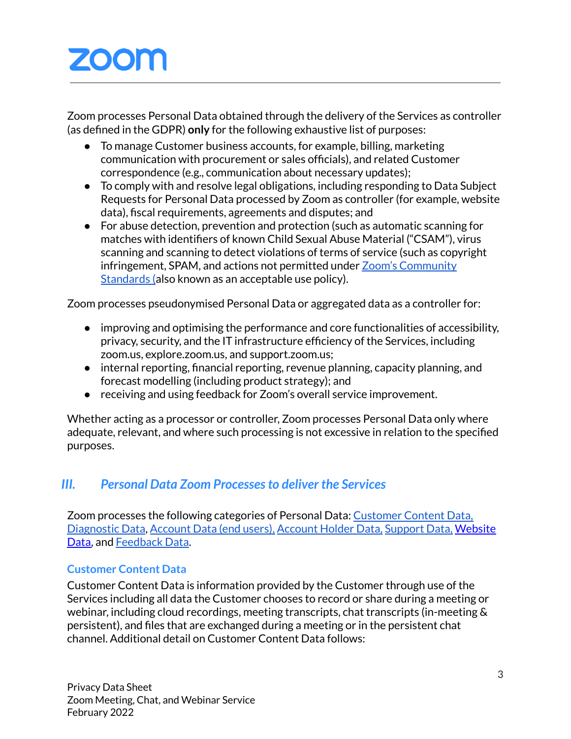Zoom processes Personal Data obtained through the delivery of the Services as controller (as defined in the GDPR) **only** for the following exhaustive list of purposes:

- <span id="page-2-1"></span>● To manage Customer business accounts, for example, billing, marketing communication with procurement or sales officials), and related Customer correspondence (e.g., communication about necessary updates);
- To comply with and resolve legal obligations, including responding to Data Subject Requests for Personal Data processed by Zoom as controller (for example, website data), fiscal requirements, agreements and disputes; and
- For abuse detection, prevention and protection (such as automatic scanning for matches with identifiers of known Child Sexual Abuse Material ("CSAM"), virus scanning and scanning to detect violations of terms of service (such as copyright infringement, SPAM, and actions not permitted under Zoom's [Community](https://explore.zoom.us/en/community-standards/) [Standards](https://explore.zoom.us/en/community-standards/) (also known as an acceptable use policy).

Zoom processes pseudonymised Personal Data or aggregated data as a controller for:

- improving and optimising the performance and core functionalities of accessibility, privacy, security, and the IT infrastructure efficiency of the Services, including zoom.us, explore.zoom.us, and support.zoom.us;
- internal reporting, financial reporting, revenue planning, capacity planning, and forecast modelling (including product strategy); and
- receiving and using feedback for Zoom's overall service improvement.

Whether acting as a processor or controller, Zoom processes Personal Data only where adequate, relevant, and where such processing is not excessive in relation to the specified purposes.

# <span id="page-2-0"></span>*III. Personal Data Zoom Processesto deliver the Services*

Zoom processes the following categories of Personal Data: [Customer](#page-2-2) Content Data, Diagnostic Data, [Account](#page-5-0) Data (end users), [Account](#page-5-1) Holder Data, [Support](#page-6-0) Data, [Website](#page-6-1) [Data,](#page-6-1) and [Feedback](#page-6-1) Data.

## <span id="page-2-2"></span>**Customer Content Data**

Customer Content Data is information provided by the Customer through use of the Services including all data the Customer chooses to record or share during a meeting or webinar, including cloud recordings, meeting transcripts, chat transcripts (in-meeting & persistent), and files that are exchanged during a meeting or in the persistent chat channel. Additional detail on Customer Content Data follows: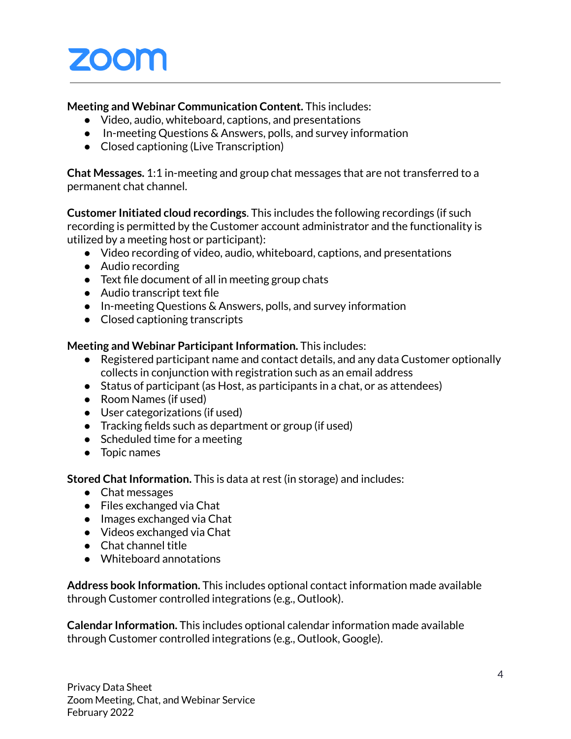#### **Meeting and Webinar Communication Content.** This includes:

- Video, audio, whiteboard, captions, and presentations
- In-meeting Questions & Answers, polls, and survey information
- Closed captioning (Live Transcription)

**Chat Messages.** 1:1 in-meeting and group chat messages that are not transferred to a permanent chat channel.

**Customer Initiated cloud recordings**. This includes the following recordings (if such recording is permitted by the Customer account administrator and the functionality is utilized by a meeting host or participant):

- Video recording of video, audio, whiteboard, captions, and presentations
- Audio recording
- Text file document of all in meeting group chats
- Audio transcript text file
- In-meeting Questions & Answers, polls, and survey information
- Closed captioning transcripts

### **Meeting and Webinar Participant Information.** This includes:

- Registered participant name and contact details, and any data Customer optionally collects in conjunction with registration such as an email address
- Status of participant (as Host, as participants in a chat, or as attendees)
- Room Names (if used)
- User categorizations (if used)
- Tracking fields such as department or group (if used)
- Scheduled time for a meeting
- Topic names

**Stored Chat Information.** This is data at rest (in storage) and includes:

- Chat messages
- Files exchanged via Chat
- Images exchanged via Chat
- Videos exchanged via Chat
- Chat channel title
- Whiteboard annotations

**Address book Information.** This includes optional contact information made available through Customer controlled integrations (e.g., Outlook).

**Calendar Information.** This includes optional calendar information made available through Customer controlled integrations (e.g., Outlook, Google).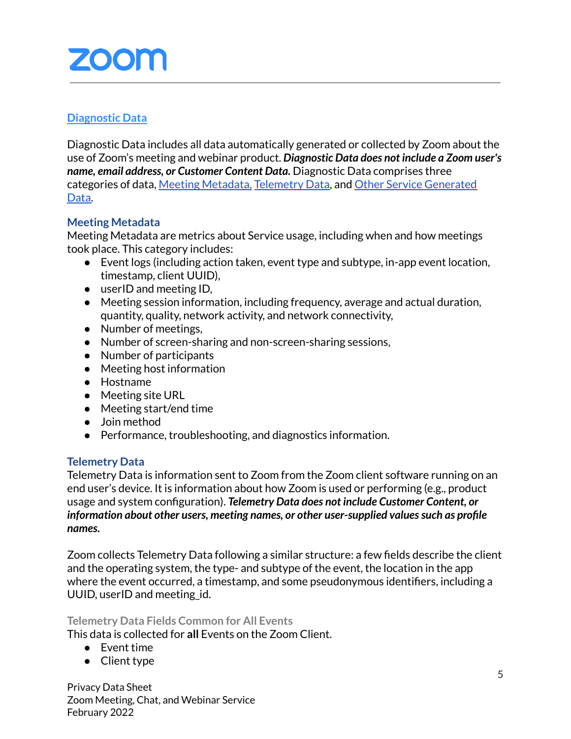## <span id="page-4-0"></span>**Diagnostic Data**

Diagnostic Data includes all data automatically generated or collected by Zoom about the use of Zoom's meeting and webinar product. *Diagnostic Data does not include a Zoom user's name, email address, or Customer Content Data.* Diagnostic Data comprises three categories of data, Meeting Metadata, [Telemetry](#page-4-1) Data, and Other Service [Generated](#page-5-2) [Data.](#page-5-2)

#### **Meeting Metadata**

Meeting Metadata are metrics about Service usage, including when and how meetings took place. This category includes:

- Event logs (including action taken, event type and subtype, in-app event location, timestamp, client UUID),
- userID and meeting ID,
- Meeting session information, including frequency, average and actual duration, quantity, quality, network activity, and network connectivity,
- Number of meetings,
- Number of screen-sharing and non-screen-sharing sessions,
- Number of participants
- Meeting host information
- Hostname
- Meeting site URL
- Meeting start/end time
- Join method
- Performance, troubleshooting, and diagnostics information.

#### <span id="page-4-1"></span>**Telemetry Data**

Telemetry Data is information sent to Zoom from the Zoom client software running on an end user's device. It is information about how Zoom is used or performing (e.g., product usage and system configuration). *Telemetry Data does not include Customer Content, or information about other users, meeting names, or other user-supplied valuessuch as profile names***.**

Zoom collects Telemetry Data following a similar structure: a few fields describe the client and the operating system, the type- and subtype of the event, the location in the app where the event occurred, a timestamp, and some pseudonymous identifiers, including a UUID, userID and meeting\_id.

#### **Telemetry Data Fields Common for All Events**

This data is collected for **all** Events on the Zoom Client.

- Event time
- Client type

Privacy Data Sheet Zoom Meeting, Chat, and Webinar Service February 2022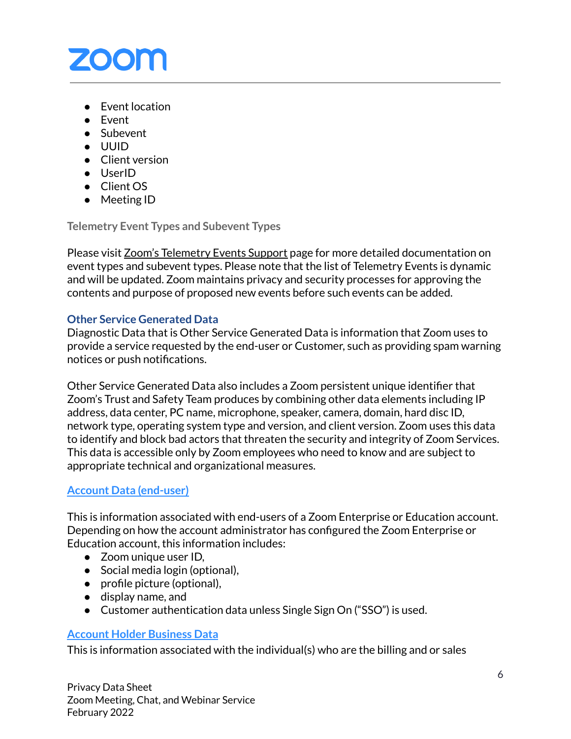

- Event location
- Event
- Subevent
- UUID
- Client version
- UserID
- Client OS
- Meeting ID

**Telemetry Event Types and Subevent Types**

Please visit Zoom's [Telemetry](https://support.zoom.us/hc/en-us/articles/4424580245389) Events Support page for more detailed documentation on event types and subevent types. Please note that the list of Telemetry Events is dynamic and will be updated. Zoom maintains privacy and security processes for approving the contents and purpose of proposed new events before such events can be added.

### <span id="page-5-2"></span>**Other Service Generated Data**

Diagnostic Data that is Other Service Generated Data is information that Zoom uses to provide a service requested by the end-user or Customer, such as providing spam warning notices or push notifications.

Other Service Generated Data also includes a Zoom persistent unique identifier that Zoom's Trust and Safety Team produces by combining other data elements including IP address, data center, PC name, microphone, speaker, camera, domain, hard disc ID, network type, operating system type and version, and client version. Zoom uses this data to identify and block bad actors that threaten the security and integrity of Zoom Services. This data is accessible only by Zoom employees who need to know and are subject to appropriate technical and organizational measures.

## <span id="page-5-0"></span>**Account Data (end-user)**

This is information associated with end-users of a Zoom Enterprise or Education account. Depending on how the account administrator has configured the Zoom Enterprise or Education account, this information includes:

- Zoom unique user ID,
- Social media login (optional),
- profile picture (optional),
- display name, and
- Customer authentication data unless Single Sign On ("SSO") is used.

#### <span id="page-5-1"></span>**Account Holder Business Data**

This is information associated with the individual(s) who are the billing and or sales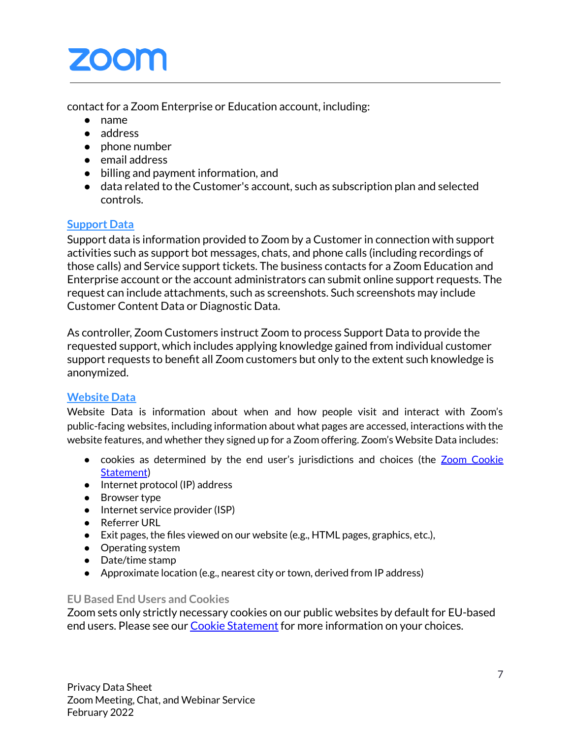contact for a Zoom Enterprise or Education account, including:

- name
- address
- phone number
- email address
- billing and payment information, and
- data related to the Customer's account, such as subscription plan and selected controls.

## <span id="page-6-0"></span>**Support Data**

Support data is information provided to Zoom by a Customer in connection with support activities such as support bot messages, chats, and phone calls (including recordings of those calls) and Service support tickets. The business contacts for a Zoom Education and Enterprise account or the account administrators can submit online support requests. The request can include attachments, such as screenshots. Such screenshots may include Customer Content Data or Diagnostic Data.

As controller, Zoom Customers instruct Zoom to process Support Data to provide the requested support, which includes applying knowledge gained from individual customer support requests to benefit all Zoom customers but only to the extent such knowledge is anonymized.

## <span id="page-6-1"></span>**Website Data**

Website Data is information about when and how people visit and interact with Zoom's public-facing websites, including information about what pages are accessed, interactions with the website features, and whether they signed up for a Zoom offering. Zoom's Website Data includes:

- cookies as determined by the end user's jurisdictions and choices (the Zoom [Cookie](https://explore.zoom.us/en/cookie-policy/) [Statement](https://explore.zoom.us/en/cookie-policy/))
- Internet protocol (IP) address
- Browser type
- Internet service provider (ISP)
- Referrer URL
- Exit pages, the files viewed on our website (e.g., HTML pages, graphics, etc.),
- Operating system
- Date/time stamp
- Approximate location (e.g., nearest city or town, derived from IP address)

#### **EU Based End Users and Cookies**

Zoom sets only strictly necessary cookies on our public websites by default for EU-based end users. Please see our Cookie [Statement](https://explore.zoom.us/en/cookie-policy/?_ga=2.124306058.1003249758.1644247858-801897819.1598290790) for more information on your choices.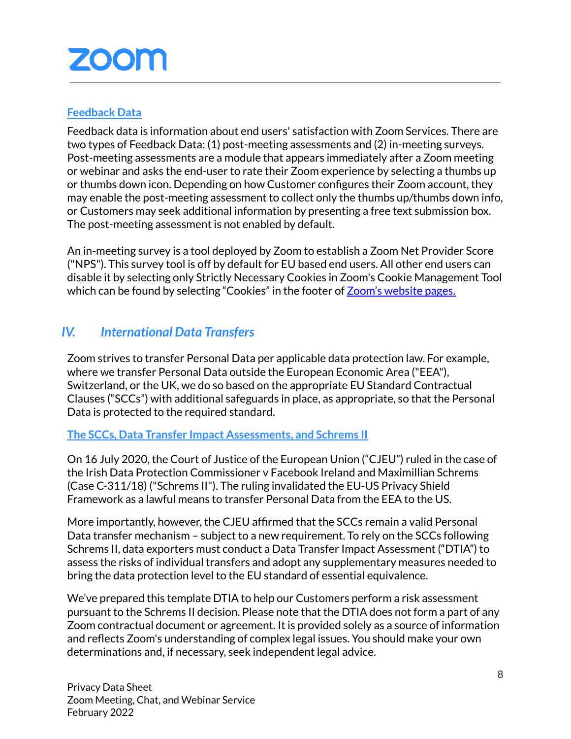### <span id="page-7-0"></span>**Feedback Data**

Feedback data is information about end users' satisfaction with Zoom Services. There are two types of Feedback Data: (1) post-meeting assessments and (2) in-meeting surveys. Post-meeting assessments are a module that appears immediately after a Zoom meeting or webinar and asks the end-user to rate their Zoom experience by selecting a thumbs up or thumbs down icon. Depending on how Customer configures their Zoom account, they may enable the post-meeting assessment to collect only the thumbs up/thumbs down info, or Customers may seek additional information by presenting a free text submission box. The post-meeting assessment is not enabled by default.

An in-meeting survey is a tool deployed by Zoom to establish a Zoom Net Provider Score ("NPS"). This survey tool is off by default for EU based end users. All other end users can disable it by selecting only Strictly Necessary Cookies in Zoom's Cookie Management Tool which can be found by selecting "Cookies" in the footer of Zoom's [website](https://zoom.us/) pages.

# <span id="page-7-1"></span>*IV. International Data Transfers*

Zoom strives to transfer Personal Data per applicable data protection law. For example, where we transfer Personal Data outside the European Economic Area ("EEA"), Switzerland, or the UK, we do so based on the appropriate EU Standard [Contractual](https://ec.europa.eu/info/law/law-topic/data-protection/international-dimension-data-protection/standard-contractual-clauses-scc_en) [Clauses](https://ec.europa.eu/info/law/law-topic/data-protection/international-dimension-data-protection/standard-contractual-clauses-scc_en) ("SCCs") with additional safeguards in place, as appropriate, so that the Personal Data is protected to the required standard.

#### <span id="page-7-2"></span>**The SCCs, Data Transfer Impact Assessments, and Schrems II**

On 16 July 2020, the Court of Justice of the European Union ("CJEU") ruled in the case of the Irish Data Protection Commissioner v Facebook Ireland and Maximillian Schrems (Case C-311/18) ("Schrems II"). The ruling invalidated the EU-US Privacy Shield Framework as a lawful means to transfer Personal Data from the EEA to the US.

More importantly, however, the CJEU affirmed that the SCCs remain a valid Personal Data transfer mechanism – subject to a new requirement. To rely on the SCCs following Schrems II, data exporters must conduct a Data Transfer Impact Assessment ("DTIA") to assess the risks of individual transfers and adopt any supplementary measures needed to bring the data protection level to the EU standard of essential equivalence.

We've prepared this template DTIA to help our Customers perform a risk assessment pursuant to the Schrems II decision. Please note that the DTIA does not form a part of any Zoom contractual document or agreement. It is provided solely as a source of information and reflects Zoom's understanding of complex legal issues. You should make your own determinations and, if necessary, seek independent legal advice.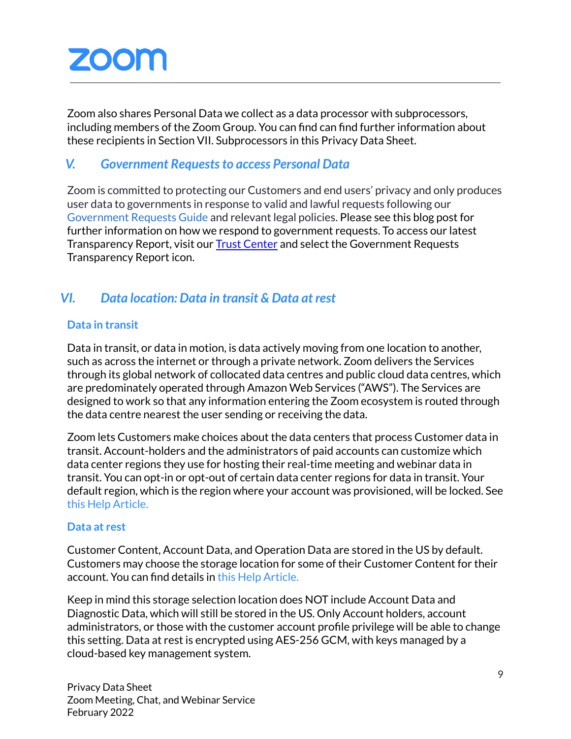Zoom also shares Personal Data we collect as a data processor with subprocessors, including members of the Zoom Group. You can find can find further information about these recipients in Section VII. [Subprocessors](#page-9-0) in this Privacy Data Sheet.

## <span id="page-8-0"></span>*V. Government Requeststo access Personal Data*

Zoom is committed to protecting our Customers and end users' privacy and only produces user data to governments in response to valid and lawful requests following our [Government](https://zoom.us/docs/en-us/government-requests-guide.html) Requests Guide and relevant legal policies. Please see this blog post for further information on how we respond to government requests. To access our latest Transparency Report, visit our Trust [Center](https://explore.zoom.us/en/trust/) and select the Government Requests Transparency Report icon.

# <span id="page-8-1"></span>*VI. Data location: Data in transit & Data at rest*

### **Data in transit**

Data in transit, or data in motion, is data actively moving from one location to another, such as across the internet or through a private network. Zoom delivers the Services through its global network of collocated data centres and public cloud data centres, which are predominately operated through Amazon Web Services ("AWS"). The Services are designed to work so that any information entering the Zoom ecosystem is routed through the data centre nearest the user sending or receiving the data.

Zoom lets Customers make choices about the data centers that process Customer data in transit. Account-holders and the administrators of paid accounts can customize which data center regions they use for hosting their real-time meeting and webinar data in transit. You can opt-in or opt-out of certain data center regions for data in transit. Your default region, which is the region where your account was provisioned, will be locked. See this Help [Article.](https://support.zoom.us/hc/en-us/articles/360042411451-Selecting-data-center-regions-for-hosted-meetings-and-webinars)

#### **Data at rest**

Customer Content, Account Data, and Operation Data are stored in the US by default. Customers may choose the storage location for some of their Customer Content for their account. You can find details in this Help [Article.](https://support.zoom.us/hc/en-us/articles/360050781131)

Keep in mind this storage selection location does NOT include Account Data and Diagnostic Data, which will still be stored in the US. Only Account holders, account administrators, or those with the customer account profile privilege will be able to change this setting. Data at rest is encrypted using AES-256 GCM, with keys managed by a cloud-based key management system.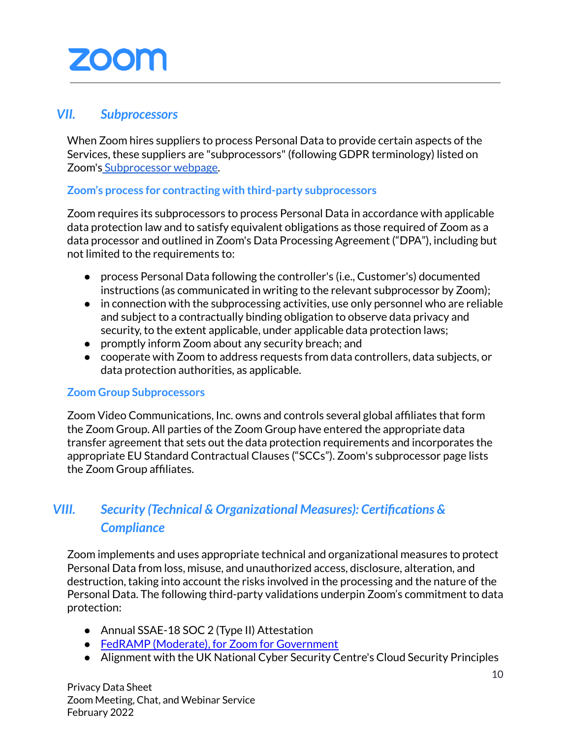### <span id="page-9-0"></span>*VII. Subprocessors*

When Zoom hires suppliers to process Personal Data to provide certain aspects of the Services, these suppliers are "subprocessors"(following GDPR terminology) listed on Zoom's [Subprocessor](https://zoom.us/subprocessors) webpage.

#### **Zoom's process for contracting with third-party subprocessors**

Zoom requires its subprocessors to process Personal Data in accordance with applicable data protection law and to satisfy equivalent obligations as those required of Zoom as a data processor and outlined in Zoom's Data Processing Agreement ("[DPA](https://zoom.us/docs/doc/Zoom_GLOBAL_DPA.pdf)"), including but not limited to the requirements to:

- process Personal Data following the controller's (i.e., Customer's) documented instructions (as communicated in writing to the relevant subprocessor by Zoom);
- in connection with the subprocessing activities, use only personnel who are reliable and subject to a contractually binding obligation to observe data privacy and security, to the extent applicable, under applicable data protection laws;
- promptly inform Zoom about any security breach; and
- cooperate with Zoom to address requests from data controllers, data subjects, or data protection authorities, as applicable.

#### **Zoom Group Subprocessors**

Zoom Video Communications, Inc. owns and controls several global affiliates that form the Zoom Group. All parties of the Zoom Group have entered the appropriate data transfer agreement that sets out the data protection requirements and incorporates the appropriate EU Standard [Contractual](https://ec.europa.eu/info/law/law-topic/data-protection/international-dimension-data-protection/standard-contractual-clauses-scc_en) Clauses ("SCCs"). Zoom's [subprocessor](https://explore.zoom.us/docs/en-us/subprocessors.html) page lists the Zoom Group [affiliates.](https://explore.zoom.us/docs/en-us/subprocessors.html)

# <span id="page-9-1"></span>*VIII. Security (Technical & Organizational Measures): Certifications & Compliance*

Zoom implements and uses appropriate technical and organizational measures to protect Personal Data from loss, misuse, and unauthorized access, disclosure, alteration, and destruction, taking into account the risks involved in the processing and the nature of the Personal Data. The following third-party validations underpin Zoom's commitment to data protection:

- Annual SSAE-18 SOC 2 (Type II) Attestation
- FedRAMP (Moderate), for Zoom for [Government](https://marketplace.fedramp.gov/#!/product/zoom-for-government?sort=productName&productNameSearch=zoom)
- Alignment with the UK National Cyber Security Centre's Cloud Security Principles